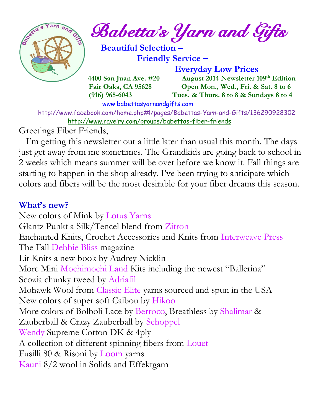

*Babetta's Yarn and Gifts* 

 **Beautiful Selection – Friendly Service –**

 **Everyday Low Prices**

 **4400 San Juan Ave. #20** August 2014 Newsletter 109<sup>th</sup> Edition  **Fair Oaks, CA 95628 Open Mon., Wed., Fri. & Sat. 8 to 6 (916) 965-6043 Tues. & Thurs. 8 to 8 & Sundays 8 to 4** 

[www.babettasyarnandgifts.com](http://www.babettasyarnandgifts.com/)

 <http://www.facebook.com/home.php#!/pages/Babettas-Yarn-and-Gifts/136290928302> <http://www.ravelry.com/groups/babettas-fiber-friends>

Greetings Fiber Friends,

 I'm getting this newsletter out a little later than usual this month. The days just get away from me sometimes. The Grandkids are going back to school in 2 weeks which means summer will be over before we know it. Fall things are starting to happen in the shop already. I've been trying to anticipate which colors and fibers will be the most desirable for your fiber dreams this season.

## **What's new?**

New colors of Mink by Lotus Yarns Glantz Punkt a Silk/Tencel blend from Zitron Enchanted Knits, Crochet Accessories and Knits from Interweave Press The Fall Debbie Bliss magazine Lit Knits a new book by Audrey Nicklin More Mini Mochimochi Land Kits including the newest "Ballerina" Scozia chunky tweed by Adriafil Mohawk Wool from Classic Elite yarns sourced and spun in the USA New colors of super soft Caibou by Hikoo More colors of Bolboli Lace by Berroco, Breathless by Shalimar & Zauberball & Crazy Zauberball by Schoppel Wendy Supreme Cotton DK & 4ply A collection of different spinning fibers from Louet Fusilli 80 & Risoni by Loom yarns Kauni 8/2 wool in Solids and Effektgarn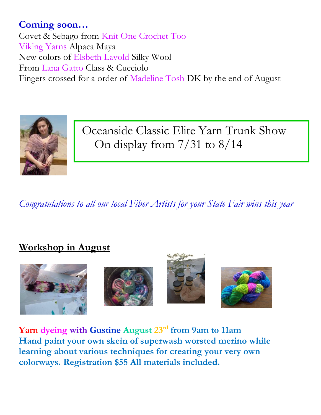# **Coming soon…**

Covet & Sebago from Knit One Crochet Too Viking Yarns Alpaca Maya New colors of Elsbeth Lavold Silky Wool From Lana Gatto Class & Cucciolo Fingers crossed for a order of Madeline Tosh DK by the end of August



Oceanside Classic Elite Yarn Trunk Show On display from 7/31 to 8/14

*Congratulations to all our local Fiber Artists for your State Fair wins this year*

## **Workshop in August**



**Yarn dyeing with Gustine August 23rd from 9am to 11am Hand paint your own skein of superwash worsted merino while learning about various techniques for creating your very own colorways. Registration \$55 All materials included.**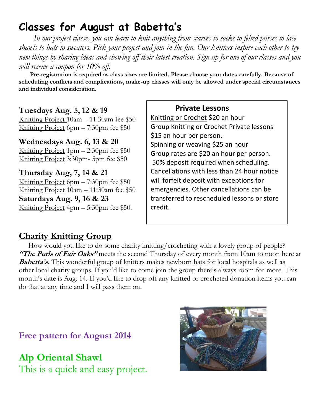# **Classes for August at Babetta's**

 *In our project classes you can learn to knit anything from scarves to socks to felted purses to lace shawls to hats to sweaters. Pick your project and join in the fun. Our knitters inspire each other to try new things by sharing ideas and showing off their latest creation. Sign up for one of our classes and you will receive a coupon for 10% off.*

 **Pre-registration is required as class sizes are limited. Please choose your dates carefully. Because of scheduling conflicts and complications, make-up classes will only be allowed under special circumstances and individual consideration.**

### **Tuesdays Aug. 5, 12 & 19**

Knitting Project 10am – 11:30am fee \$50 Knitting Project 6pm – 7:30pm fee \$50

#### **Wednesdays Aug. 6, 13 & 20**

Knitting Project 1pm – 2:30pm fee \$50 Knitting Project 3:30pm- 5pm fee \$50

**Thursday Aug, 7, 14 & 21** Knitting Project 6pm – 7:30pm fee \$50 Knitting Project 10am – 11:30am fee \$50 **Saturdays Aug. 9, 16 & 23** Knitting Project 4pm – 5:30pm fee \$50.

 **Private Lessons**  Knitting or Crochet \$20 an hour Group Knitting or Crochet Private lessons \$15 an hour per person. Spinning or weaving \$25 an hour Group rates are \$20 an hour per person. 50% deposit required when scheduling. Cancellations with less than 24 hour notice will forfeit deposit with exceptions for emergencies. Other cancellations can be transferred to rescheduled lessons or store credit.

### **Charity Knitting Group**

 How would you like to do some charity knitting/crocheting with a lovely group of people? **"The Purls of Fair Oaks"** meets the second Thursday of every month from 10am to noon here at **Babetta's.** This wonderful group of knitters makes newborn hats for local hospitals as well as other local charity groups. If you'd like to come join the group there's always room for more. This month's date is Aug. 14. If you'd like to drop off any knitted or crocheted donation items you can do that at any time and I will pass them on.

**Free pattern for August 2014**

**Alp Oriental Shawl** This is a quick and easy project.